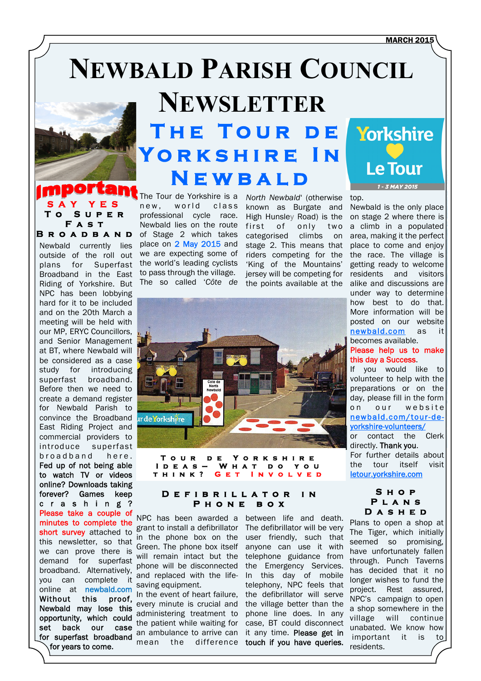#### **MARCH 2015**

# **NEWBALD PARISH COUNCIL**



## **SAY YES To Super Fast Broadband**

Newbald currently lies outside of the roll out plans for Superfast Broadband in the East Riding of Yorkshire. But NPC has been lobbying hard for it to be included and on the 20th March a meeting will be held with our MP, ERYC Councillors, and Senior Management at BT, where Newbald will be considered as a case study for introducing superfast broadband. Before then we need to create a demand register for Newbald Parish to convince the Broadband East Riding Project and commercial providers to introduce superfast broadband here. Fed up of not being able to watch TV or videos online? Downloads taking forever? Games keep c r a s h i n g ? Please take a couple of minutes to complete the short survey attached to this newsletter, so that we can prove there is demand for superfast broadband. Alternatively, you can complete it online at newbald.com Without this proof, Newbald may lose this opportunity, which could set back our case for superfast broadband

for years to come**.**

# **NEWSLETTER The Tour de Yorkshire In Newbald**

The Tour de Yorkshire is a new, world class professional cycle race. Newbald lies on the route of Stage 2 which takes place on 2 May 2015 and we are expecting some of the world's leading cyclists to pass through the village. The so called '*Côte de* 

*North Newbald*' (otherwise known as Burgate and High Hunsley Road) is the first of only two categorised climbs on stage 2. This means that riders competing for the 'King of the Mountains' jersey will be competing for the points available at the



**Tour de Yorkshire Ideas– What do you THINK?** 

#### **Defibrillator in Phone box**

NPC has been awarded a grant to install a defibrillator in the phone box on the Green. The phone box itself will remain intact but the phone will be disconnected and replaced with the lifesaving equipment.

In the event of heart failure, every minute is crucial and administering treatment to the patient while waiting for an ambulance to arrive can mean the difference

between life and death. The defibrillator will be very user friendly, such that anyone can use it with telephone guidance from the Emergency Services. In this day of mobile telephony, NPC feels that the defibrillator will serve the village better than the phone line does. In any case, BT could disconnect it any time. Please get in touch if you have queries.



top.

Newbald is the only place on stage 2 where there is a climb in a populated area, making it the perfect place to come and enjoy the race. The village is getting ready to welcome residents and visitors alike and discussions are under way to determine how best to do that. More information will be posted on our website [newbald.com](http://www.newbald.com) as it becomes available.

## Please help us to make this day a Success.

If you would like to volunteer to help with the preparations or on the day, please fill in the form on our website [newbald.com/tour-de](http://www.newbald.com/tour-de-yorkshire-volunteers/)[yorkshire-volunteers/](http://www.newbald.com/tour-de-yorkshire-volunteers/) or contact the Clerk directly. Thank you.

For further details about the tour itself visit [letour.yorkshire.com](http://letour.yorkshire.com/)

#### **Shop Plans Dashed**

Plans to open a shop at The Tiger, which initially seemed so promising, have unfortunately fallen through. Punch Taverns has decided that it no longer wishes to fund the project. Rest assured, NPC's campaign to open a shop somewhere in the village will continue unabated. We know how important it is to residents.